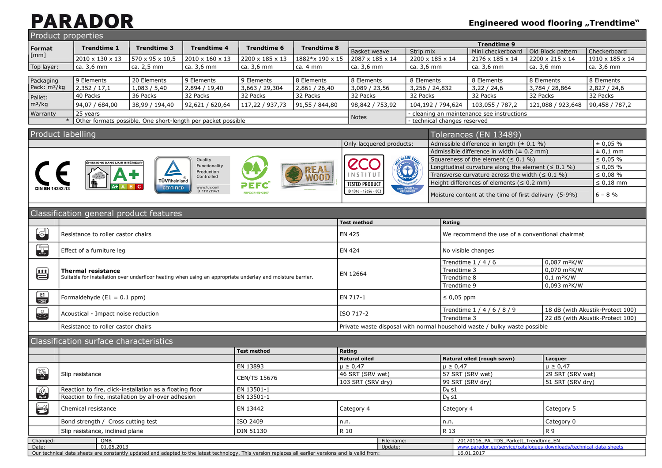### **Engineered wood flooring "Trendtime"**

|                                                                                                        | <b>Product properties</b>                                                                                                                            |                     |                              |                    |                    |                                 |                                                                                                                    |                              |                                                       |                                                                                            |                                   |                                  |  |
|--------------------------------------------------------------------------------------------------------|------------------------------------------------------------------------------------------------------------------------------------------------------|---------------------|------------------------------|--------------------|--------------------|---------------------------------|--------------------------------------------------------------------------------------------------------------------|------------------------------|-------------------------------------------------------|--------------------------------------------------------------------------------------------|-----------------------------------|----------------------------------|--|
| Format                                                                                                 | <b>Trendtime 1</b>                                                                                                                                   | <b>Trendtime 3</b>  | <b>Trendtime 4</b>           | <b>Trendtime 6</b> | <b>Trendtime 8</b> |                                 |                                                                                                                    |                              |                                                       | <b>Trendtime 9</b>                                                                         | Old Block pattern<br>Checkerboard |                                  |  |
| [mm]                                                                                                   | 2010 x 130 x 13                                                                                                                                      | 570 x 95 x 10,5     | 2010 x 160 x 13              | 2200 x 185 x 13    | 1882*x 190 x 15    | Basket weave<br>2087 x 185 x 14 |                                                                                                                    | Strip mix<br>2200 x 185 x 14 |                                                       | Mini checkerboard<br>2176 x 185 x 14                                                       | 2200 x 215 x 14                   | 1910 x 185 x 14                  |  |
| Top layer:                                                                                             | ca. 3,6 mm                                                                                                                                           | ca. 2,5 mm          | ca. 3,6 mm                   | ca. 3,6 mm         | ca. 4 mm           | ca. 3,6 mm                      |                                                                                                                    | ca. 3,6 mm                   |                                                       | ca. 3,6 mm                                                                                 | ca. 3,6 mm                        | ca. 3,6 mm                       |  |
|                                                                                                        |                                                                                                                                                      |                     |                              |                    |                    |                                 |                                                                                                                    |                              |                                                       |                                                                                            |                                   |                                  |  |
| Packaging                                                                                              | 9 Elements                                                                                                                                           | 20 Elements         | 9 Elements                   | 9 Elements         | 8 Elements         | 8 Elements                      |                                                                                                                    | 8 Elements                   |                                                       | 8 Elements                                                                                 | 8 Elements                        | 8 Elements                       |  |
| Pack: m <sup>2</sup> /kg                                                                               | 2,352 / 17,1                                                                                                                                         | 1,083 / 5,40        | 2,894 / 19,40                | 3,663 / 29,304     | 2,861 / 26,40      | 3,089 / 23,56                   |                                                                                                                    | 3,256 / 24,832               |                                                       | 3,22/24,6                                                                                  | 3,784 / 28,864                    | 2,827 / 24,6                     |  |
| Pallet:                                                                                                | 40 Packs                                                                                                                                             | 36 Packs            | 32 Packs                     | 32 Packs           | 32 Packs           | 32 Packs                        |                                                                                                                    | 32 Packs                     |                                                       | 32 Packs                                                                                   | 32 Packs                          | 32 Packs                         |  |
| $m^2/kg$                                                                                               | 94,07 / 684,00                                                                                                                                       | 38,99 / 194,40      | 92,621 / 620,64              | 117,22 / 937,73    | 91,55 / 844,80     | 98,842 / 753,92                 |                                                                                                                    | 104,192 / 794,624            |                                                       | 103,055 / 787,2                                                                            | 121,088 / 923,648                 | 90,458 / 787,2                   |  |
| Warranty                                                                                               | 25 years                                                                                                                                             |                     |                              |                    |                    | Notes                           |                                                                                                                    |                              | cleaning an maintenance see instructions              |                                                                                            |                                   |                                  |  |
| Other formats possible. One short-length per packet possible<br>- technical changes reserved<br>$\ast$ |                                                                                                                                                      |                     |                              |                    |                    |                                 |                                                                                                                    |                              |                                                       |                                                                                            |                                   |                                  |  |
| Product labelling                                                                                      |                                                                                                                                                      |                     |                              |                    |                    |                                 |                                                                                                                    |                              |                                                       | Tolerances (EN 13489)                                                                      |                                   |                                  |  |
|                                                                                                        |                                                                                                                                                      |                     |                              |                    |                    |                                 |                                                                                                                    |                              |                                                       |                                                                                            |                                   |                                  |  |
|                                                                                                        |                                                                                                                                                      |                     |                              |                    |                    | Only lacquered products:        |                                                                                                                    |                              |                                                       | Admissible difference in length $(± 0.1 %)$<br>Admissible difference in width $(± 0.2 mm)$ |                                   | ± 0,05%<br>$± 0,1$ mm            |  |
| Quality                                                                                                |                                                                                                                                                      |                     |                              |                    |                    |                                 |                                                                                                                    |                              |                                                       | Squareness of the element ( $\leq 0.1$ %)                                                  |                                   | $\leq 0.05 \%$                   |  |
| MISSIONS DANS L'AIR INTÉRIEUR <sup>.</sup><br>Functionality                                            |                                                                                                                                                      |                     |                              |                    | <b>CCO</b>         |                                 |                                                                                                                    |                              |                                                       |                                                                                            | $\leq 0.05 \%$                    |                                  |  |
| REAL<br>Production<br>Controlled                                                                       |                                                                                                                                                      |                     |                              | INSTITUT           |                    | 6                               | Longitudinal curvature along the element $( \leq 0.1 % )$<br>Transverse curvature across the width ( $\leq 0.1$ %) |                              |                                                       | $\leq 0.08 \%$                                                                             |                                   |                                  |  |
|                                                                                                        |                                                                                                                                                      | <b>TÜVRheinland</b> |                              |                    |                    | <b>TESTED PRODUCT</b>           |                                                                                                                    |                              |                                                       | Height differences of elements ( $\leq 0.2$ mm)                                            |                                   | $\leq 0,18$ mm                   |  |
|                                                                                                        |                                                                                                                                                      | <b>CERTIFIED</b>    | www.tuv.com<br>ID 1111211471 | PEPC/04-31-0507    |                    | ID 1016 - 12656 - 002           |                                                                                                                    |                              | Moisture content at the time of first delivery (5-9%) |                                                                                            |                                   |                                  |  |
|                                                                                                        |                                                                                                                                                      |                     |                              |                    |                    |                                 |                                                                                                                    |                              |                                                       |                                                                                            |                                   | $6 - 8 \%$                       |  |
|                                                                                                        |                                                                                                                                                      |                     |                              |                    |                    |                                 |                                                                                                                    |                              |                                                       |                                                                                            |                                   |                                  |  |
|                                                                                                        | Classification general product features                                                                                                              |                     |                              |                    |                    |                                 |                                                                                                                    |                              |                                                       |                                                                                            |                                   |                                  |  |
|                                                                                                        |                                                                                                                                                      |                     |                              |                    |                    | <b>Test method</b>              |                                                                                                                    |                              | Rating                                                |                                                                                            |                                   |                                  |  |
| $\epsilon$                                                                                             | <b>EN 425</b><br>Resistance to roller castor chairs<br>We recommend the use of a conventional chairmat                                               |                     |                              |                    |                    |                                 |                                                                                                                    |                              |                                                       |                                                                                            |                                   |                                  |  |
| 每                                                                                                      | Effect of a furniture leg                                                                                                                            |                     |                              |                    |                    | <b>EN 424</b>                   |                                                                                                                    |                              | No visible changes                                    |                                                                                            |                                   |                                  |  |
|                                                                                                        |                                                                                                                                                      |                     |                              |                    |                    |                                 |                                                                                                                    |                              | Trendtime $1/4/6$                                     | 0,087 m <sup>2</sup> K/W                                                                   |                                   |                                  |  |
| Ë                                                                                                      | <b>Thermal resistance</b>                                                                                                                            |                     |                              |                    |                    | EN 12664                        |                                                                                                                    |                              | Trendtime 3                                           |                                                                                            | 0,070 m <sup>2</sup> K/W          |                                  |  |
|                                                                                                        | Suitable for installation over underfloor heating when using an appropriate underlay and moisture barrier.                                           |                     |                              |                    |                    |                                 |                                                                                                                    |                              | Trendtime 8                                           |                                                                                            | $0,1$ m <sup>2</sup> K/W          |                                  |  |
|                                                                                                        |                                                                                                                                                      |                     |                              |                    |                    |                                 |                                                                                                                    |                              | Trendtime 9                                           |                                                                                            | 0,093 m <sup>2</sup> K/W          |                                  |  |
| $\frac{E1}{HCHO}$                                                                                      | Formaldehyde $(E1 = 0.1$ ppm)                                                                                                                        |                     |                              |                    |                    | EN 717-1                        |                                                                                                                    |                              | $\leq 0.05$ ppm                                       |                                                                                            |                                   |                                  |  |
| $\mathbb{C}$                                                                                           | Acoustical - Impact noise reduction                                                                                                                  |                     |                              |                    |                    | ISO 717-2                       |                                                                                                                    |                              |                                                       | Trendtime 1 / 4 / 6 / 8 / 9                                                                |                                   | 18 dB (with Akustik-Protect 100) |  |
|                                                                                                        |                                                                                                                                                      |                     |                              |                    |                    |                                 |                                                                                                                    |                              | Trendtime 3                                           |                                                                                            |                                   | 22 dB (with Akustik-Protect 100) |  |
|                                                                                                        | Resistance to roller castor chairs                                                                                                                   |                     |                              |                    |                    |                                 |                                                                                                                    |                              |                                                       | Private waste disposal with normal household waste / bulky waste possible                  |                                   |                                  |  |
|                                                                                                        | Classification surface characteristics                                                                                                               |                     |                              |                    |                    |                                 |                                                                                                                    |                              |                                                       |                                                                                            |                                   |                                  |  |
|                                                                                                        |                                                                                                                                                      |                     |                              | Test method        |                    | Rating                          |                                                                                                                    |                              |                                                       |                                                                                            |                                   |                                  |  |
|                                                                                                        |                                                                                                                                                      |                     |                              |                    |                    | <b>Natural oiled</b>            |                                                                                                                    |                              |                                                       | Natural oiled (rough sawn)                                                                 | Lacquer                           |                                  |  |
|                                                                                                        |                                                                                                                                                      |                     |                              | EN 13893           |                    | $\mu \ge 0.47$                  |                                                                                                                    |                              | $\mu \geq 0.47$                                       |                                                                                            | $\mu \ge 0.47$                    |                                  |  |
| $\frac{1}{2}$                                                                                          | Slip resistance                                                                                                                                      |                     |                              | CEN/TS 15676       |                    | 46 SRT (SRV wet)                |                                                                                                                    |                              |                                                       | 57 SRT (SRV wet)<br>29 SRT (SRV wet)                                                       |                                   |                                  |  |
|                                                                                                        |                                                                                                                                                      |                     |                              |                    |                    | 103 SRT (SRV dry)               |                                                                                                                    |                              | 99 SRT (SRV dry)<br>51 SRT (SRV dry)                  |                                                                                            |                                   |                                  |  |
| <b>A</b>                                                                                               | Reaction to fire, click-installation as a floating floor                                                                                             |                     |                              | EN 13501-1         |                    |                                 |                                                                                                                    |                              | $D_{fl} s1$                                           |                                                                                            |                                   |                                  |  |
|                                                                                                        | Reaction to fire, installation by all-over adhesion                                                                                                  |                     |                              | EN 13501-1         |                    |                                 |                                                                                                                    |                              | $D_{fl}$ s1                                           |                                                                                            |                                   |                                  |  |
| $\Box$                                                                                                 | Chemical resistance                                                                                                                                  |                     |                              | EN 13442           |                    | Category 4                      |                                                                                                                    |                              | Category 4                                            |                                                                                            | Category 5                        |                                  |  |
|                                                                                                        | Bond strength / Cross cutting test                                                                                                                   |                     |                              | ISO 2409           |                    | n.n.                            |                                                                                                                    |                              | n.n.                                                  |                                                                                            | Category 0                        |                                  |  |
|                                                                                                        | Slip resistance, inclined plane                                                                                                                      |                     |                              | DIN 51130          |                    | R 10                            |                                                                                                                    |                              | R 13                                                  |                                                                                            | R 9                               |                                  |  |
| Changed:                                                                                               | QMB                                                                                                                                                  |                     |                              |                    |                    |                                 | File name:                                                                                                         |                              |                                                       | 20170116 PA TDS Parkett Trendtime EN                                                       |                                   |                                  |  |
| Date:                                                                                                  | 01.05.2013                                                                                                                                           |                     |                              |                    |                    |                                 | Update:                                                                                                            |                              |                                                       | www.parador.eu/service/catalogues-downloads/technical-data-sheets                          |                                   |                                  |  |
|                                                                                                        | Our technical data sheets are constantly updated and adapted to the latest technology. This version replaces all earlier versions and is valid from: |                     |                              |                    |                    |                                 |                                                                                                                    |                              |                                                       | 16.01.2017                                                                                 |                                   |                                  |  |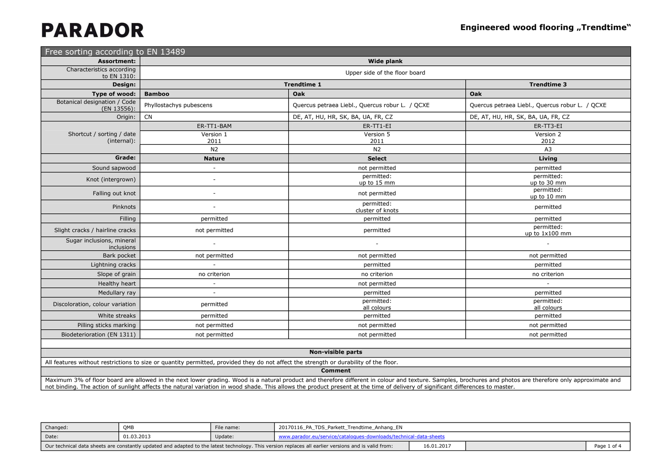| Free sorting according to EN 13489          |                          |                                                 |                                                 |
|---------------------------------------------|--------------------------|-------------------------------------------------|-------------------------------------------------|
| <b>Assortment:</b>                          |                          | <b>Wide plank</b>                               |                                                 |
| Characteristics according<br>to EN 1310:    |                          | Upper side of the floor board                   |                                                 |
| Design:                                     |                          | <b>Trendtime 1</b>                              | <b>Trendtime 3</b>                              |
| Type of wood:                               | <b>Bamboo</b>            | Oak                                             | Oak                                             |
| Botanical designation / Code<br>(EN 13556): | Phyllostachys pubescens  | Quercus petraea Liebl., Quercus robur L. / QCXE | Quercus petraea Liebl., Quercus robur L. / QCXE |
| Origin:                                     | <b>CN</b>                | DE, AT, HU, HR, SK, BA, UA, FR, CZ              | DE, AT, HU, HR, SK, BA, UA, FR, CZ              |
|                                             | ER-TT1-BAM               | ER-TT1-EI                                       | ER-TT3-EI                                       |
| Shortcut / sorting / date<br>(internal):    | Version 1<br>2011        | Version 5<br>2011                               | Version 2<br>2012                               |
|                                             | N <sub>2</sub>           | N2                                              | A <sub>3</sub>                                  |
| Grade:                                      | <b>Nature</b>            | <b>Select</b>                                   | Living                                          |
| Sound sapwood                               | $\overline{\phantom{a}}$ | not permitted                                   | permitted                                       |
| Knot (intergrown)                           | $\overline{a}$           | permitted:<br>up to 15 mm                       | permitted:<br>up to 30 mm                       |
| Falling out knot                            |                          | not permitted                                   | permitted:<br>up to 10 mm                       |
| Pinknots                                    | $\overline{\phantom{a}}$ | permitted:<br>cluster of knots                  | permitted                                       |
| Filling                                     | permitted                | permitted                                       | permitted                                       |
| Slight cracks / hairline cracks             | not permitted            | permitted                                       | permitted:<br>up to 1x100 mm                    |
| Sugar inclusions, mineral<br>inclusions     | $\overline{\phantom{a}}$ | $\sim$                                          | $\overline{\phantom{a}}$                        |
| Bark pocket                                 | not permitted            | not permitted                                   | not permitted                                   |
| Lightning cracks                            | ÷                        | permitted                                       | permitted                                       |
| Slope of grain                              | no criterion             | no criterion                                    | no criterion                                    |
| Healthy heart                               | $\overline{\phantom{a}}$ | not permitted                                   | $\sim$                                          |
| Medullary ray                               | $\sim$                   | permitted                                       | permitted                                       |
| Discoloration, colour variation             | permitted                | permitted:<br>all colours                       | permitted:<br>all colours                       |
| White streaks                               | permitted                | permitted                                       | permitted                                       |
| Pilling sticks marking                      | not permitted            | not permitted                                   | not permitted                                   |
| Biodeterioration (EN 1311)                  | not permitted            | not permitted                                   | not permitted                                   |
|                                             |                          | New visible newle                               |                                                 |

#### **Non-visible parts**

All features without restrictions to size or quantity permitted, provided they do not affect the strength or durability of the floor.

**Comment**

Maximum 3% of floor board are allowed in the next lower grading. Wood is a natural product and therefore different in colour and texture. Samples, brochures and photos are therefore only approximate and not binding. The action of sunlight affects the natural variation in wood shade. This allows the product present at the time of delivery of significant differences to master.

| Changed:                                                                                                                                             | OME        | File name: | 20170116 PA TDS Parkett Trendtime Anhang EN                       |  |        |
|------------------------------------------------------------------------------------------------------------------------------------------------------|------------|------------|-------------------------------------------------------------------|--|--------|
| Date:                                                                                                                                                | 01.03.2013 | Update:    | www.parador.eu/service/catalogues-downloads/technical-data-sheets |  |        |
| Our technical data sheets are constantly updated and adapted to the latest technology. This version replaces all earlier versions and is valid from: |            |            |                                                                   |  | Page 1 |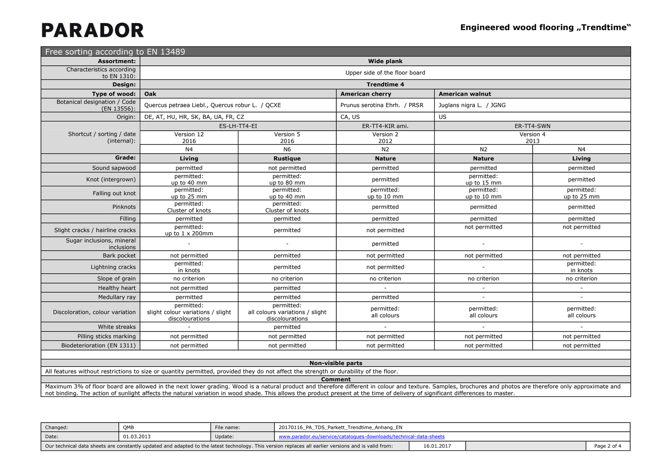| Free sorting according to EN 13489          |                                                                    |                                                                  |                               |                           |                           |  |  |  |
|---------------------------------------------|--------------------------------------------------------------------|------------------------------------------------------------------|-------------------------------|---------------------------|---------------------------|--|--|--|
| <b>Assortment:</b>                          |                                                                    |                                                                  | Wide plank                    |                           |                           |  |  |  |
| Characteristics according<br>to EN 1310:    |                                                                    |                                                                  | Upper side of the floor board |                           |                           |  |  |  |
| Design:                                     | <b>Trendtime 4</b>                                                 |                                                                  |                               |                           |                           |  |  |  |
| Type of wood:                               | <b>Oak</b>                                                         |                                                                  | <b>American cherry</b>        | <b>American walnut</b>    |                           |  |  |  |
| Botanical designation / Code<br>(EN 13556): | Quercus petraea Liebl., Quercus robur L. / QCXE                    |                                                                  | Prunus serotina Ehrh. / PRSR  | Juglans nigra L. / JGNG   |                           |  |  |  |
| Origin:                                     | DE, AT, HU, HR, SK, BA, UA, FR, CZ                                 |                                                                  | CA, US                        | US                        |                           |  |  |  |
|                                             | ES-LH-TT4-EI                                                       |                                                                  | ER-TT4-KIR ami.               |                           | ER-TT4-SWN<br>Version 4   |  |  |  |
| Shortcut / sorting / date<br>(internal):    | Version 12<br>2016                                                 | Version 5<br>2016                                                | Version 2<br>2012             |                           | 2013                      |  |  |  |
|                                             | N4                                                                 | <b>N6</b>                                                        | N2                            | N <sub>2</sub>            | N <sub>4</sub>            |  |  |  |
| Grade:                                      | Living                                                             | <b>Rustique</b>                                                  | <b>Nature</b>                 | <b>Nature</b>             | Living                    |  |  |  |
| Sound sapwood                               | permitted                                                          | not permitted                                                    | permitted                     | permitted                 | permitted                 |  |  |  |
| Knot (intergrown)                           | permitted:<br>up to 40 mm                                          | permitted:<br>up to 80 mm                                        | permitted                     | permitted:<br>up to 15 mm | permitted                 |  |  |  |
| Falling out knot                            | permitted:<br>up to 25 mm                                          | permitted:<br>up to 40 mm                                        | permitted:<br>up to 10 mm     | permitted:<br>up to 10 mm | permitted:<br>up to 25 mm |  |  |  |
| Pinknots                                    | permitted:<br>Cluster of knots                                     | permitted:<br>Cluster of knots                                   | permitted                     | permitted                 | permitted                 |  |  |  |
| Filling                                     | permitted                                                          | permitted                                                        | permitted                     | permitted                 | permitted                 |  |  |  |
| Slight cracks / hairline cracks             | permitted:<br>up to $1 \times 200$ mm                              | permitted                                                        | not permitted                 | not permitted             | not permitted             |  |  |  |
| Sugar inclusions, mineral<br>inclusions     | $\sim$                                                             | L.                                                               | permitted                     | $\sim$                    | $\sim$                    |  |  |  |
| Bark pocket                                 | not permitted                                                      | permitted                                                        | not permitted                 | not permitted             | not permitted             |  |  |  |
| Lightning cracks                            | permitted:<br>in knots                                             | permitted                                                        | not permitted                 | $\sim$                    | permitted:<br>in knots    |  |  |  |
| Slope of grain                              | no criterion                                                       | no criterion                                                     | no criterion                  | no criterion              | no criterion              |  |  |  |
| Healthy heart                               | not permitted                                                      | permitted                                                        | $\sim$                        | $\overline{\phantom{a}}$  | $\overline{\phantom{a}}$  |  |  |  |
| Medullary ray                               | permitted                                                          | permitted                                                        | permitted                     | $\sim$                    | $\overline{a}$            |  |  |  |
| Discoloration, colour variation             | permitted:<br>slight colour variations / slight<br>discolourations | permitted:<br>all colours variations / slight<br>discolourations | permitted:<br>all colours     | permitted:<br>all colours | permitted:<br>all colours |  |  |  |
| White streaks                               | $\sim$                                                             | permitted                                                        | $\sim$                        | $\sim$                    | $\sim$                    |  |  |  |
| Pilling sticks marking                      | not permitted                                                      | not permitted                                                    | not permitted                 | not permitted             | not permitted             |  |  |  |
| Biodeterioration (EN 1311)                  | not permitted                                                      | not permitted                                                    | not permitted                 | not permitted             | not permitted             |  |  |  |
|                                             |                                                                    |                                                                  |                               |                           |                           |  |  |  |
|                                             |                                                                    |                                                                  | <b>Non-visible parts</b>      |                           |                           |  |  |  |

All features without restrictions to size or quantity permitted, provided they do not affect the strength or durability of the floor.

**Comment**

Maximum 3% of floor board are allowed in the next lower grading. Wood is a natural product and therefore different in colour and texture. Samples, brochures and photos are therefore only approximate and<br>not binding. The ac

| Changed:                                                                                                                                             | OME        | File name: | 20170116 PA TDS Parkett Trendtime Anhang EN                       |  |             |
|------------------------------------------------------------------------------------------------------------------------------------------------------|------------|------------|-------------------------------------------------------------------|--|-------------|
| Date:                                                                                                                                                | 01.03.2013 | Update:    | www.parador.eu/service/catalogues-downloads/technical-data-sheets |  |             |
| Our technical data sheets are constantly updated and adapted to the latest technology. This version replaces all earlier versions and is valid from: |            |            |                                                                   |  | Page 2 of 4 |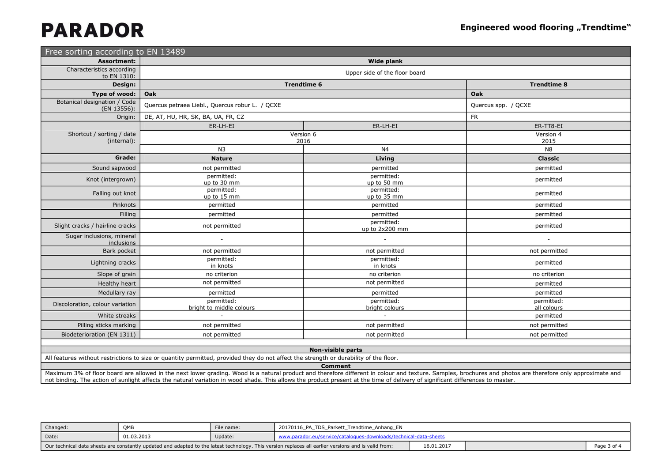| Free sorting according to EN 13489          |                                                 |                               |                           |
|---------------------------------------------|-------------------------------------------------|-------------------------------|---------------------------|
| <b>Assortment:</b>                          |                                                 | <b>Wide plank</b>             |                           |
| Characteristics according<br>to EN 1310:    |                                                 | Upper side of the floor board |                           |
| Design:                                     | <b>Trendtime 6</b>                              |                               | <b>Trendtime 8</b>        |
| Type of wood:                               | Oak                                             |                               | Oak                       |
| Botanical designation / Code<br>(EN 13556): | Quercus petraea Liebl., Quercus robur L. / QCXE |                               | Quercus spp. / QCXE       |
| Origin:                                     | DE, AT, HU, HR, SK, BA, UA, FR, CZ              |                               | <b>FR</b>                 |
|                                             | ER-LH-EI                                        | ER-LH-EI                      | ER-TT8-EI                 |
| Shortcut / sorting / date<br>(internal):    | Version 6<br>2016                               |                               | Version 4<br>2015         |
|                                             | N <sub>3</sub>                                  | N <sub>4</sub>                | N <sub>8</sub>            |
| Grade:                                      | <b>Nature</b>                                   | Living                        | <b>Classic</b>            |
| Sound sapwood                               | not permitted                                   | permitted                     | permitted                 |
| Knot (intergrown)                           | permitted:<br>up to 30 mm                       | permitted:<br>up to 50 mm     | permitted                 |
| Falling out knot                            | permitted:<br>up to 15 mm                       | permitted:<br>up to 35 mm     | permitted                 |
| Pinknots                                    | permitted                                       | permitted                     | permitted                 |
| Filling                                     | permitted                                       | permitted                     | permitted                 |
| Slight cracks / hairline cracks             | not permitted                                   | permitted:<br>up to 2x200 mm  | permitted                 |
| Sugar inclusions, mineral<br>inclusions     | $\overline{\phantom{a}}$                        | $\overline{\phantom{a}}$      | $\overline{\phantom{a}}$  |
| Bark pocket                                 | not permitted                                   | not permitted                 | not permitted             |
| Lightning cracks                            | permitted:<br>in knots                          | permitted:<br>in knots        | permitted                 |
| Slope of grain                              | no criterion                                    | no criterion                  | no criterion              |
| Healthy heart                               | not permitted                                   | not permitted                 | permitted                 |
| Medullary ray                               | permitted                                       | permitted                     | permitted                 |
| Discoloration, colour variation             | permitted:<br>bright to middle colours          | permitted:<br>bright colours  | permitted:<br>all colours |
| White streaks                               |                                                 |                               | permitted                 |
| Pilling sticks marking                      | not permitted                                   | not permitted                 | not permitted             |
| Biodeterioration (EN 1311)                  | not permitted                                   | not permitted                 | not permitted             |
|                                             |                                                 |                               |                           |

### **Non-visible parts**

All features without restrictions to size or quantity permitted, provided they do not affect the strength or durability of the floor.

**Comment**

 Maximum 3% of floor board are allowed in the next lower grading. Wood is a natural product and therefore different in colour and texture. Samples, brochures and photos are therefore only approximate and not binding. The action of sunlight affects the natural variation in wood shade. This allows the product present at the time of delivery of significant differences to master.

| Changed.                                                                                                                                             | OME        | File name: | 20170116_PA_TDS_Parkett_Trendtime_Anhang_EN |            |  |
|------------------------------------------------------------------------------------------------------------------------------------------------------|------------|------------|---------------------------------------------|------------|--|
| Date:                                                                                                                                                | 01.03.2013 | Update:    | .vw.parador.eu/service/catalogues-4         |            |  |
| Our technical data sheets are constantly updated and adapted to the latest technology. This version replaces all earlier versions and is valid from: |            |            |                                             | 16.01.2017 |  |